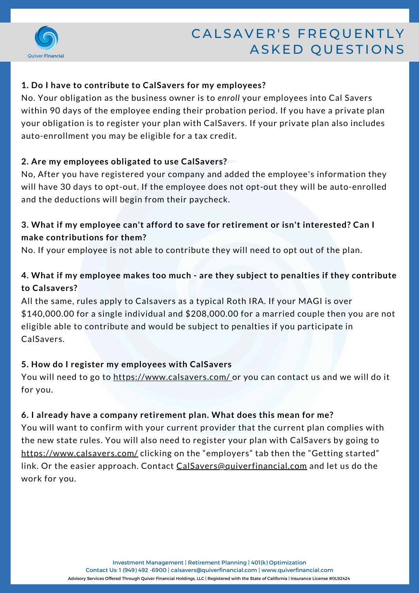

# CALSAVER'S FREQUENTLY ASKED QUESTIONS

#### **1. Do I have to contribute to CalSavers for my employees?**

No. Your obligation as the business owner is to *enroll* your employees into Cal Savers within 90 days of the employee ending their probation period. If you have a private plan your obligation is to register your plan with CalSavers. If your private plan also includes auto-enrollment you may be eligible for a tax credit.

#### **2. Are my employees obligated to use CalSavers?**

No, After you have registered your company and added the employee's information they will have 30 days to opt-out. If the employee does not opt-out they will be auto-enrolled and the deductions will begin from their paycheck.

# **3. What if my employee can't afford to save for retirement or isn't interested? Can I make contributions for them?**

No. If your employee is not able to contribute they will need to opt out of the plan.

# **4. What if my employee makes too much - are they subject to penalties if they contribute to Calsavers?**

All the same, rules apply to Calsavers as a typical Roth IRA. If your MAGI is over \$140,000.00 for a single individual and \$208,000.00 for a married couple then you are not eligible able to contribute and would be subject to penalties if you participate in CalSavers.

#### **5. How do I register my employees with CalSavers**

You will need to go to <https://www.calsavers.com/> or you can contact us and we will do it for you.

#### **6. I already have a company retirement plan. What does this mean for me?**

You will want to confirm with your current provider that the current plan complies with the new state rules. You will also need to register your plan with CalSavers by going to <https://www.calsavers.com/> clicking on the "employers" tab then the "Getting started" link. Or the easier approach. Contact [CalSavers@quiverfinancial.com](mailto:cmcfadden@quiverfinancial.com) and let us do the work for you.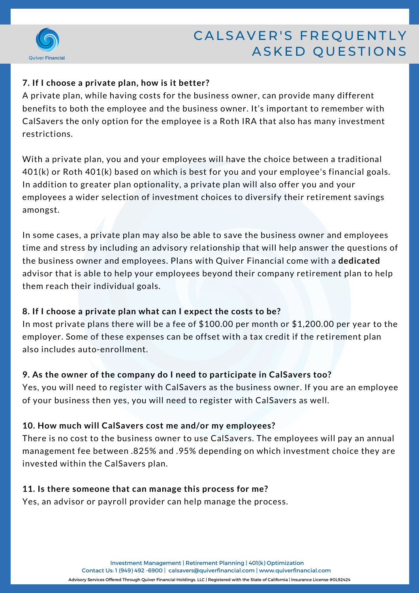

# CALSAVER'S FREQUENTLY ASKED QUESTIONS

# **7. If I choose a private plan, how is it better?**

A private plan, while having costs for the business owner, can provide many different benefits to both the employee and the business owner. It's important to remember with CalSavers the only option for the employee is a Roth IRA that also has many investment restrictions.

With a private plan, you and your employees will have the choice between a traditional 401(k) or Roth 401(k) based on which is best for you and your employee's financial goals. In addition to greater plan optionality, a private plan will also offer you and your employees a wider selection of investment choices to diversify their retirement savings amongst.

In some cases, a private plan may also be able to save the business owner and employees time and stress by including an advisory relationship that will help answer the questions of the business owner and employees. Plans with Quiver Financial come with a **dedicated** advisor that is able to help your employees beyond their company retirement plan to help them reach their individual goals.

# **8. If I choose a private plan what can I expect the costs to be?**

In most private plans there will be a fee of \$100.00 per month or \$1,200.00 per year to the employer. Some of these expenses can be offset with a tax credit if the retirement plan also includes auto-enrollment.

# **9. As the owner of the company do I need to participate in CalSavers too?**

Yes, you will need to register with CalSavers as the business owner. If you are an employee of your business then yes, you will need to register with CalSavers as well.

#### **10. How much will CalSavers cost me and/or my employees?**

There is no cost to the business owner to use CalSavers. The employees will pay an annual management fee between .825% and .95% depending on which investment choice they are invested within the CalSavers plan.

#### **11. Is there someone that can manage this process for me?**

Yes, an advisor or payroll provider can help manage the process.